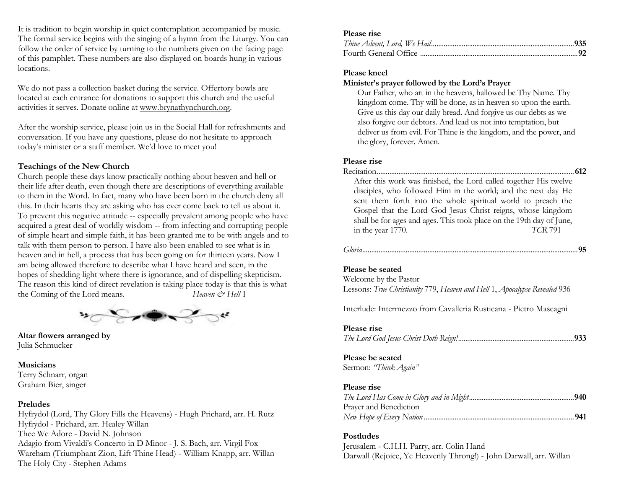It is tradition to begin worship in quiet contemplation accompanied by music. The formal service begins with the singing of a hymn from the Liturgy. You can follow the order of service by turning to the numbers given on the facing page of this pamphlet. These numbers are also displayed on boards hung in various locations.

We do not pass a collection basket during the service. Offertory bowls are located at each entrance for donations to support this church and the useful activities it serves. Donate online at www.brynathynchurch.org.

After the worship service, please join us in the Social Hall for refreshments and conversation. If you have any questions, please do not hesitate to approach today's minister or a staff member. We'd love to meet you!

#### **Teachings of the New Church**

Church people these days know practically nothing about heaven and hell or their life after death, even though there are descriptions of everything available to them in the Word. In fact, many who have been born in the church deny all this. In their hearts they are asking who has ever come back to tell us about it. To prevent this negative attitude -- especially prevalent among people who have acquired a great deal of worldly wisdom -- from infecting and corrupting people of simple heart and simple faith, it has been granted me to be with angels and to talk with them person to person. I have also been enabled to see what is in heaven and in hell, a process that has been going on for thirteen years. Now I am being allowed therefore to describe what I have heard and seen, in the hopes of shedding light where there is ignorance, and of dispelling skepticism. The reason this kind of direct revelation is taking place today is that this is what the Coming of the Lord means. *Heaven*  $\mathcal{Q}$  *Heaven*  $\mathcal{Q}$  *Hell* 1



**Altar flowers arranged by** Julia Schmucker

#### **Musicians**

Terry Schnarr, organ Graham Bier, singer

### **Preludes**

Hyfrydol (Lord, Thy Glory Fills the Heavens) - Hugh Prichard, arr. H. Rutz Hyfrydol - Prichard, arr. Healey Willan Thee We Adore - David N. Johnson Adagio from Vivaldi's Concerto in D Minor - J. S. Bach, arr. Virgil Fox Wareham (Triumphant Zion, Lift Thine Head) - William Knapp, arr. Willan The Holy City - Stephen Adams

#### **Please rise**

#### **Please kneel**

#### **Minister's prayer followed by the Lord's Prayer**

Our Father, who art in the heavens, hallowed be Thy Name. Thy kingdom come. Thy will be done, as in heaven so upon the earth. Give us this day our daily bread. And forgive us our debts as we also forgive our debtors. And lead us not into temptation, but deliver us from evil. For Thine is the kingdom, and the power, and the glory, forever. Amen.

## **Please rise**

#### Recitation.............................................................................................................**612**

After this work was finished, the Lord called together His twelve disciples, who followed Him in the world; and the next day He sent them forth into the whole spiritual world to preach the Gospel that the Lord God Jesus Christ reigns, whose kingdom shall be for ages and ages. This took place on the 19th day of June, in the year 1770. *TCR* 791

*Gloria*.......................................................................................................................**95**

#### **Please be seated**

Welcome by the Pastor Lessons: *True Christianity* 779, *Heaven and Hell* 1, *Apocalypse Revealed* 936

Interlude: Intermezzo from Cavalleria Rusticana - Pietro Mascagni

#### **Please rise**

*The Lord God Jesus Christ Doth Reign!*................................................................**933**

#### **Please be seated**

Sermon: *"Think Again"*

#### **Please rise**

| Prayer and Benediction |  |
|------------------------|--|
|                        |  |

#### **Postludes**

Jerusalem - C.H.H. Parry, arr. Colin Hand Darwall (Rejoice, Ye Heavenly Throng!) - John Darwall, arr. Willan